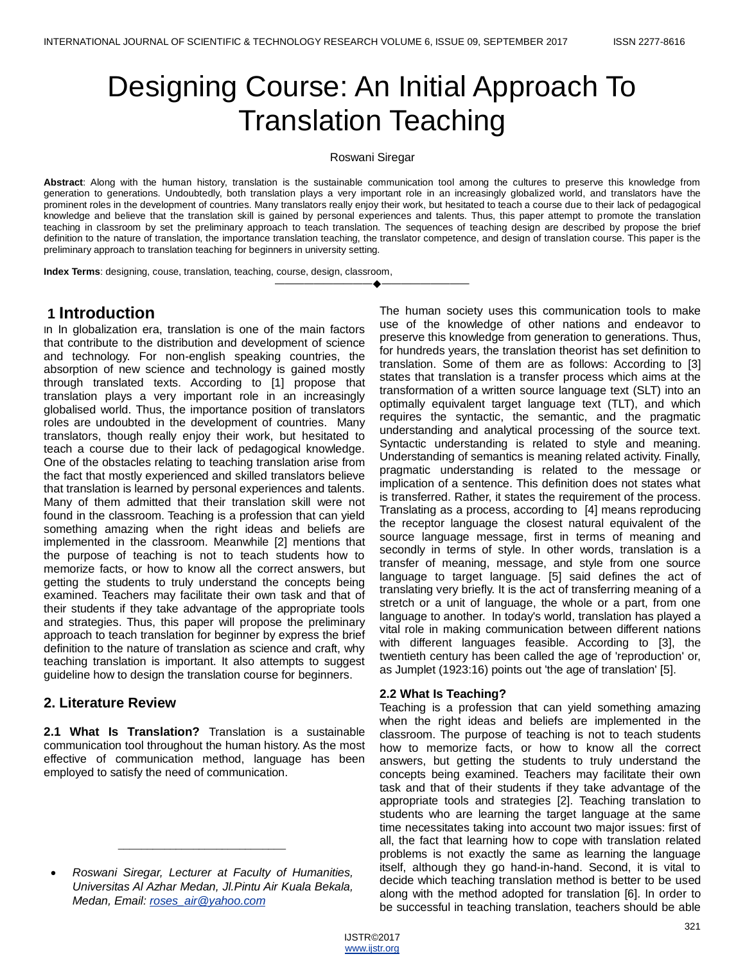# Designing Course: An Initial Approach To Translation Teaching

#### Roswani Siregar

**Abstract**: Along with the human history, translation is the sustainable communication tool among the cultures to preserve this knowledge from generation to generations. Undoubtedly, both translation plays a very important role in an increasingly globalized world, and translators have the prominent roles in the development of countries. Many translators really enjoy their work, but hesitated to teach a course due to their lack of pedagogical knowledge and believe that the translation skill is gained by personal experiences and talents. Thus, this paper attempt to promote the translation teaching in classroom by set the preliminary approach to teach translation. The sequences of teaching design are described by propose the brief definition to the nature of translation, the importance translation teaching, the translator competence, and design of translation course. This paper is the preliminary approach to translation teaching for beginners in university setting.

———————————————————

**Index Terms**: designing, couse, translation, teaching, course, design, classroom,

# **1 Introduction**

In In globalization era, translation is one of the main factors that contribute to the distribution and development of science and technology. For non-english speaking countries, the absorption of new science and technology is gained mostly through translated texts. According to [1] propose that translation plays a very important role in an increasingly globalised world. Thus, the importance position of translators roles are undoubted in the development of countries. Many translators, though really enjoy their work, but hesitated to teach a course due to their lack of pedagogical knowledge. One of the obstacles relating to teaching translation arise from the fact that mostly experienced and skilled translators believe that translation is learned by personal experiences and talents. Many of them admitted that their translation skill were not found in the classroom. Teaching is a profession that can yield something amazing when the right ideas and beliefs are implemented in the classroom. Meanwhile [2] mentions that the purpose of teaching is not to teach students how to memorize facts, or how to know all the correct answers, but getting the students to truly understand the concepts being examined. Teachers may facilitate their own task and that of their students if they take advantage of the appropriate tools and strategies. Thus, this paper will propose the preliminary approach to teach translation for beginner by express the brief definition to the nature of translation as science and craft, why teaching translation is important. It also attempts to suggest guideline how to design the translation course for beginners.

# **2. Literature Review**

**2.1 What Is Translation?** Translation is a sustainable communication tool throughout the human history. As the most effective of communication method, language has been employed to satisfy the need of communication.

\_\_\_\_\_\_\_\_\_\_\_\_\_\_\_\_\_\_\_\_\_\_\_\_\_\_\_\_\_

The human society uses this communication tools to make use of the knowledge of other nations and endeavor to preserve this knowledge from generation to generations. Thus, for hundreds years, the translation theorist has set definition to translation. Some of them are as follows: According to [3] states that translation is a transfer process which aims at the transformation of a written source language text (SLT) into an optimally equivalent target language text (TLT), and which requires the syntactic, the semantic, and the pragmatic understanding and analytical processing of the source text. Syntactic understanding is related to style and meaning. Understanding of semantics is meaning related activity. Finally, pragmatic understanding is related to the message or implication of a sentence. This definition does not states what is transferred. Rather, it states the requirement of the process. Translating as a process, according to [4] means reproducing the receptor language the closest natural equivalent of the source language message, first in terms of meaning and secondly in terms of style. In other words, translation is a transfer of meaning, message, and style from one source language to target language. [5] said defines the act of translating very briefly. It is the act of transferring meaning of a stretch or a unit of language, the whole or a part, from one language to another. In today's world, translation has played a vital role in making communication between different nations with different languages feasible. According to [3], the twentieth century has been called the age of 'reproduction' or, as Jumplet (1923:16) points out 'the age of translation' [5].

### **2.2 What Is Teaching?**

Teaching is a profession that can yield something amazing when the right ideas and beliefs are implemented in the classroom. The purpose of teaching is not to teach students how to memorize facts, or how to know all the correct answers, but getting the students to truly understand the concepts being examined. Teachers may facilitate their own task and that of their students if they take advantage of the appropriate tools and strategies [2]. Teaching translation to students who are learning the target language at the same time necessitates taking into account two major issues: first of all, the fact that learning how to cope with translation related problems is not exactly the same as learning the language itself, although they go hand-in-hand. Second, it is vital to decide which teaching translation method is better to be used along with the method adopted for translation [6]. In order to be successful in teaching translation, teachers should be able

*Roswani Siregar, Lecturer at Faculty of Humanities, Universitas Al Azhar Medan, Jl.Pintu Air Kuala Bekala, Medan, Email: [roses\\_air@yahoo.com](mailto:roses_air@yahoo.com)*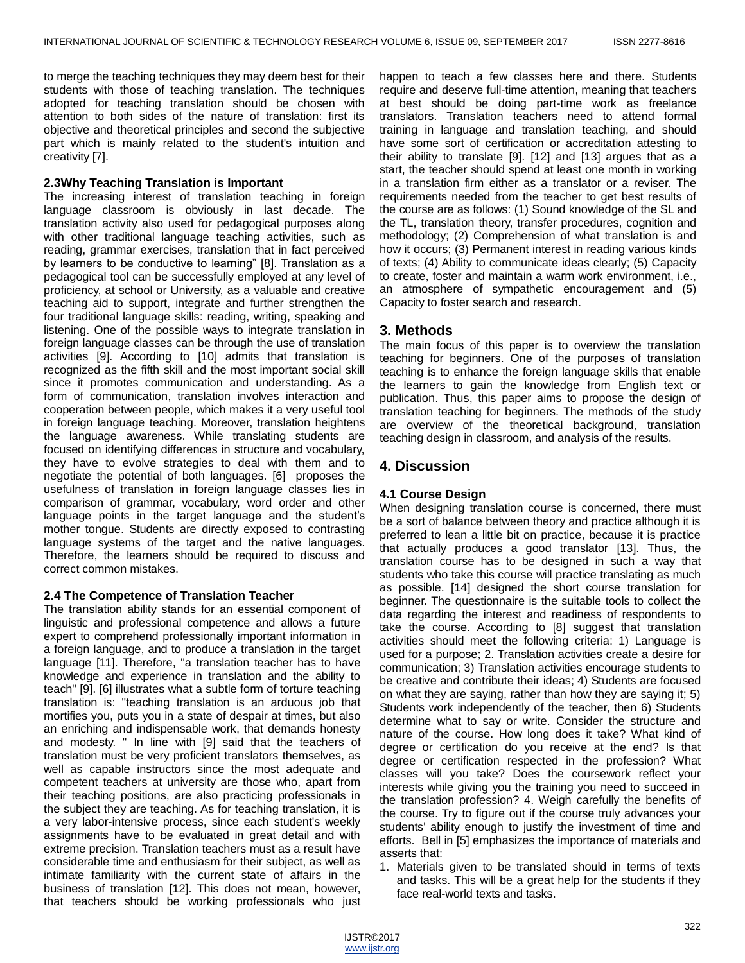to merge the teaching techniques they may deem best for their students with those of teaching translation. The techniques adopted for teaching translation should be chosen with attention to both sides of the nature of translation: first its objective and theoretical principles and second the subjective part which is mainly related to the student's intuition and creativity [7].

#### **2.3Why Teaching Translation is Important**

The increasing interest of translation teaching in foreign language classroom is obviously in last decade. The translation activity also used for pedagogical purposes along with other traditional language teaching activities, such as reading, grammar exercises, translation that in fact perceived by learners to be conductive to learning" [8]. Translation as a pedagogical tool can be successfully employed at any level of proficiency, at school or University, as a valuable and creative teaching aid to support, integrate and further strengthen the four traditional language skills: reading, writing, speaking and listening. One of the possible ways to integrate translation in foreign language classes can be through the use of translation activities [9]. According to [10] admits that translation is recognized as the fifth skill and the most important social skill since it promotes communication and understanding. As a form of communication, translation involves interaction and cooperation between people, which makes it a very useful tool in foreign language teaching. Moreover, translation heightens the language awareness. While translating students are focused on identifying differences in structure and vocabulary, they have to evolve strategies to deal with them and to negotiate the potential of both languages. [6] proposes the usefulness of translation in foreign language classes lies in comparison of grammar, vocabulary, word order and other language points in the target language and the student's mother tongue. Students are directly exposed to contrasting language systems of the target and the native languages. Therefore, the learners should be required to discuss and correct common mistakes.

#### **2.4 The Competence of Translation Teacher**

The translation ability stands for an essential component of linguistic and professional competence and allows a future expert to comprehend professionally important information in a foreign language, and to produce a translation in the target language [11]. Therefore, "a translation teacher has to have knowledge and experience in translation and the ability to teach" [9]. [6] illustrates what a subtle form of torture teaching translation is: "teaching translation is an arduous job that mortifies you, puts you in a state of despair at times, but also an enriching and indispensable work, that demands honesty and modesty. " In line with [9] said that the teachers of translation must be very proficient translators themselves, as well as capable instructors since the most adequate and competent teachers at university are those who, apart from their teaching positions, are also practicing professionals in the subject they are teaching. As for teaching translation, it is a very labor-intensive process, since each student's weekly assignments have to be evaluated in great detail and with extreme precision. Translation teachers must as a result have considerable time and enthusiasm for their subject, as well as intimate familiarity with the current state of affairs in the business of translation [12]. This does not mean, however, that teachers should be working professionals who just

happen to teach a few classes here and there. Students require and deserve full-time attention, meaning that teachers at best should be doing part-time work as freelance translators. Translation teachers need to attend formal training in language and translation teaching, and should have some sort of certification or accreditation attesting to their ability to translate [9]. [12] and [13] argues that as a start, the teacher should spend at least one month in working in a translation firm either as a translator or a reviser. The requirements needed from the teacher to get best results of the course are as follows: (1) Sound knowledge of the SL and the TL, translation theory, transfer procedures, cognition and methodology; (2) Comprehension of what translation is and how it occurs; (3) Permanent interest in reading various kinds of texts; (4) Ability to communicate ideas clearly; (5) Capacity to create, foster and maintain a warm work environment, i.e., an atmosphere of sympathetic encouragement and (5) Capacity to foster search and research.

### **3. Methods**

The main focus of this paper is to overview the translation teaching for beginners. One of the purposes of translation teaching is to enhance the foreign language skills that enable the learners to gain the knowledge from English text or publication. Thus, this paper aims to propose the design of translation teaching for beginners. The methods of the study are overview of the theoretical background, translation teaching design in classroom, and analysis of the results.

### **4. Discussion**

#### **4.1 Course Design**

When designing translation course is concerned, there must be a sort of balance between theory and practice although it is preferred to lean a little bit on practice, because it is practice that actually produces a good translator [13]. Thus, the translation course has to be designed in such a way that students who take this course will practice translating as much as possible. [14] designed the short course translation for beginner. The questionnaire is the suitable tools to collect the data regarding the interest and readiness of respondents to take the course. According to [8] suggest that translation activities should meet the following criteria: 1) Language is used for a purpose; 2. Translation activities create a desire for communication; 3) Translation activities encourage students to be creative and contribute their ideas; 4) Students are focused on what they are saying, rather than how they are saying it; 5) Students work independently of the teacher, then 6) Students determine what to say or write. Consider the structure and nature of the course. How long does it take? What kind of degree or certification do you receive at the end? Is that degree or certification respected in the profession? What classes will you take? Does the coursework reflect your interests while giving you the training you need to succeed in the translation profession? 4. Weigh carefully the benefits of the course. Try to figure out if the course truly advances your students' ability enough to justify the investment of time and efforts. Bell in [5] emphasizes the importance of materials and asserts that:

1. Materials given to be translated should in terms of texts and tasks. This will be a great help for the students if they face real-world texts and tasks.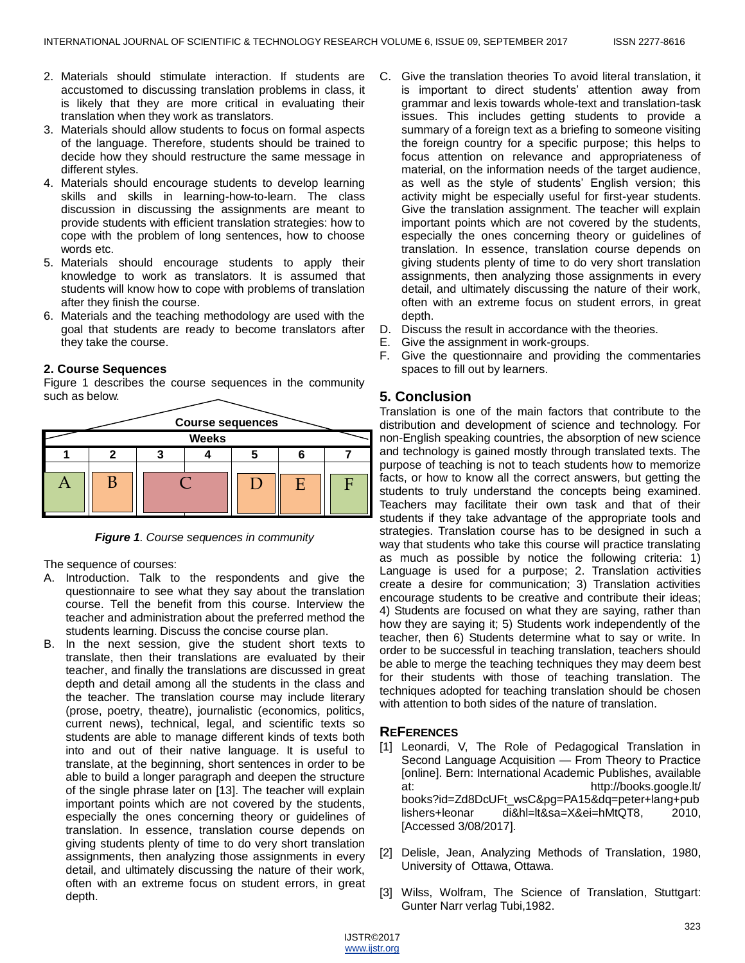- 2. Materials should stimulate interaction. If students are accustomed to discussing translation problems in class, it is likely that they are more critical in evaluating their translation when they work as translators.
- 3. Materials should allow students to focus on formal aspects of the language. Therefore, students should be trained to decide how they should restructure the same message in different styles.
- 4. Materials should encourage students to develop learning skills and skills in learning-how-to-learn. The class discussion in discussing the assignments are meant to provide students with efficient translation strategies: how to cope with the problem of long sentences, how to choose words etc.
- 5. Materials should encourage students to apply their knowledge to work as translators. It is assumed that students will know how to cope with problems of translation after they finish the course.
- 6. Materials and the teaching methodology are used with the goal that students are ready to become translators after they take the course.

## **2. Course Sequences**

Figure 1 describes the course sequences in the community such as below.





The sequence of courses:

- A. Introduction. Talk to the respondents and give the questionnaire to see what they say about the translation course. Tell the benefit from this course. Interview the teacher and administration about the preferred method the students learning. Discuss the concise course plan.
- B. In the next session, give the student short texts to translate, then their translations are evaluated by their teacher, and finally the translations are discussed in great depth and detail among all the students in the class and the teacher. The translation course may include literary (prose, poetry, theatre), journalistic (economics, politics, current news), technical, legal, and scientific texts so students are able to manage different kinds of texts both into and out of their native language. It is useful to translate, at the beginning, short sentences in order to be able to build a longer paragraph and deepen the structure of the single phrase later on [13]. The teacher will explain important points which are not covered by the students, especially the ones concerning theory or guidelines of translation. In essence, translation course depends on giving students plenty of time to do very short translation assignments, then analyzing those assignments in every detail, and ultimately discussing the nature of their work, often with an extreme focus on student errors, in great depth.
- C. Give the translation theories To avoid literal translation, it is important to direct students' attention away from grammar and lexis towards whole-text and translation-task issues. This includes getting students to provide a summary of a foreign text as a briefing to someone visiting the foreign country for a specific purpose; this helps to focus attention on relevance and appropriateness of material, on the information needs of the target audience, as well as the style of students' English version; this activity might be especially useful for first-year students. Give the translation assignment. The teacher will explain important points which are not covered by the students, especially the ones concerning theory or guidelines of translation. In essence, translation course depends on giving students plenty of time to do very short translation assignments, then analyzing those assignments in every detail, and ultimately discussing the nature of their work, often with an extreme focus on student errors, in great depth.
- D. Discuss the result in accordance with the theories.
- E. Give the assignment in work-groups.
- F. Give the questionnaire and providing the commentaries spaces to fill out by learners.

## **5. Conclusion**

Translation is one of the main factors that contribute to the distribution and development of science and technology. For non-English speaking countries, the absorption of new science and technology is gained mostly through translated texts. The purpose of teaching is not to teach students how to memorize facts, or how to know all the correct answers, but getting the students to truly understand the concepts being examined. Teachers may facilitate their own task and that of their students if they take advantage of the appropriate tools and strategies. Translation course has to be designed in such a way that students who take this course will practice translating as much as possible by notice the following criteria: 1) Language is used for a purpose; 2. Translation activities create a desire for communication; 3) Translation activities encourage students to be creative and contribute their ideas; 4) Students are focused on what they are saying, rather than how they are saying it; 5) Students work independently of the teacher, then 6) Students determine what to say or write. In order to be successful in teaching translation, teachers should be able to merge the teaching techniques they may deem best for their students with those of teaching translation. The techniques adopted for teaching translation should be chosen with attention to both sides of the nature of translation.

# **REFERENCES**

- [1] Leonardi, V, The Role of Pedagogical Translation in Second Language Acquisition — From Theory to Practice [online]. Bern: International Academic Publishes, available at: http://books.google.lt/ books?id=Zd8DcUFt\_wsC&pg=PA15&dq=peter+lang+pub lishers+leonar di&hl=lt&sa=X&ei=hMtQT8, 2010, [Accessed 3/08/2017].
- [2] Delisle, Jean, Analyzing Methods of Translation, 1980, University of Ottawa, Ottawa.
- [3] Wilss, Wolfram, The Science of Translation, Stuttgart: Gunter Narr verlag Tubi,1982.